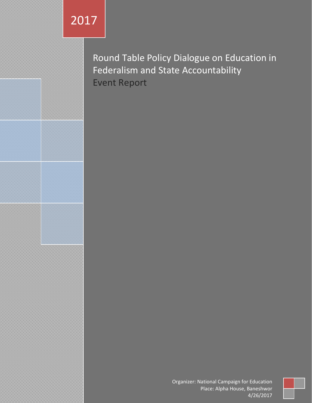Round Table Policy Dialogue on Education in Federalism and State Accountability Event Report

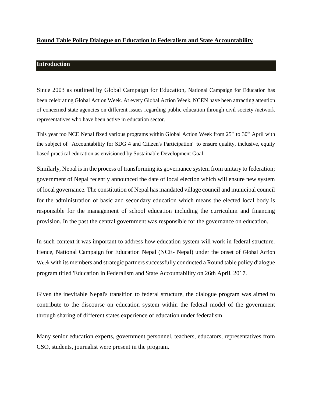# **Round Table Policy Dialogue on Education in Federalism and State Accountability**

# **Introduction**

Since 2003 as outlined by Global Campaign for Education, National Campaign for Education has been celebrating Global Action Week. At every Global Action Week, NCEN have been attracting attention of concerned state agencies on different issues regarding public education through civil society /network representatives who have been active in education sector.

This year too NCE Nepal fixed various programs within Global Action Week from 25<sup>th</sup> to 30<sup>th</sup> April with the subject of "Accountability for SDG 4 and Citizen's Participation" to ensure quality, inclusive, equity based practical education as envisioned by Sustainable Development Goal.

Similarly, Nepal is in the process of transforming its governance system from unitary to federation; government of Nepal recently announced the date of local election which will ensure new system of local governance. The constitution of Nepal has mandated village council and municipal council for the administration of basic and secondary education which means the elected local body is responsible for the management of school education including the curriculum and financing provision. In the past the central government was responsible for the governance on education.

In such context it was important to address how education system will work in federal structure. Hence, National Campaign for Education Nepal (NCE- Nepal) under the onset of Global Action Week with its members and strategic partners successfully conducted a Round table policy dialogue program titled 'Education in Federalism and State Accountability on 26th April, 2017.

Given the inevitable Nepal's transition to federal structure, the dialogue program was aimed to contribute to the discourse on education system within the federal model of the government through sharing of different states experience of education under federalism.

Many senior education experts, government personnel, teachers, educators, representatives from CSO, students, journalist were present in the program.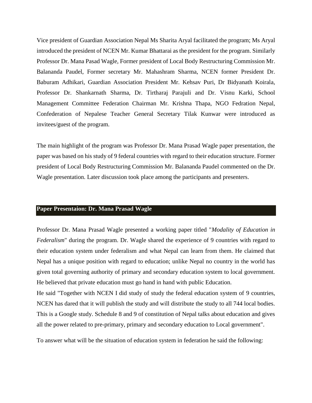Vice president of Guardian Association Nepal Ms Sharita Aryal facilitated the program; Ms Aryal introduced the president of NCEN Mr. Kumar Bhattarai as the president for the program. Similarly Professor Dr. Mana Pasad Wagle, Former president of Local Body Restructuring Commission Mr. Balananda Paudel, Former secretary Mr. Mahashram Sharma, NCEN former President Dr. Baburam Adhikari, Guardian Association President Mr. Kehsav Puri, Dr Bidyanath Koirala, Professor Dr. Shankarnath Sharma, Dr. Tirtharaj Parajuli and Dr. Visnu Karki, School Management Committee Federation Chairman Mr. Krishna Thapa, NGO Fedration Nepal, Confederation of Nepalese Teacher General Secretary Tilak Kunwar were introduced as invitees/guest of the program.

The main highlight of the program was Professor Dr. Mana Prasad Wagle paper presentation, the paper was based on his study of 9 federal countries with regard to their education structure. Former president of Local Body Restructuring Commission Mr. Balananda Paudel commented on the Dr. Wagle presentation. Later discussion took place among the participants and presenters.

### **Paper Presentaion: Dr. Mana Prasad Wagle**

Professor Dr. Mana Prasad Wagle presented a working paper titled "*Modality of Education in Federalism*" during the program. Dr. Wagle shared the experience of 9 countries with regard to their education system under federalism and what Nepal can learn from them. He claimed that Nepal has a unique position with regard to education; unlike Nepal no country in the world has given total governing authority of primary and secondary education system to local government. He believed that private education must go hand in hand with public Education.

He said "Together with NCEN I did study of study the federal education system of 9 countries, NCEN has dared that it will publish the study and will distribute the study to all 744 local bodies. This is a Google study. Schedule 8 and 9 of constitution of Nepal talks about education and gives all the power related to pre-primary, primary and secondary education to Local government".

To answer what will be the situation of education system in federation he said the following: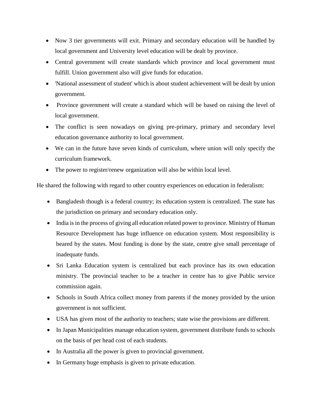- Now 3 tier governments will exit. Primary and secondary education will be handled by local government and University level education will be dealt by province.
- Central government will create standards which province and local government must fulfill. Union government also will give funds for education.
- 'National assessment of student' which is about student achievement will be dealt by union government.
- Province government will create a standard which will be based on raising the level of local government.
- The conflict is seen nowadays on giving pre-primary, primary and secondary level education governance authority to local government.
- We can in the future have seven kinds of curriculum, where union will only specify the curriculum framework.
- The power to register/renew organization will also be within local level.

He shared the following with regard to other country experiences on education in federalism:

- Bangladesh though is a federal country; its education system is centralized. The state has the jurisdiction on primary and secondary education only.
- India is in the process of giving all education related power to province. Ministry of Human Resource Development has huge influence on education system. Most responsibility is beared by the states. Most funding is done by the state, centre give small percentage of inadequate funds.
- Sri Lanka Education system is centralized but each province has its own education ministry. The provincial teacher to be a teacher in centre has to give Public service commission again.
- Schools in South Africa collect money from parents if the money provided by the union government is not sufficient.
- USA has given most of the authority to teachers; state wise the provisions are different.
- In Japan Municipalities manage education system, government distribute funds to schools on the basis of per head cost of each students.
- In Australia all the power is given to provincial government.
- In Germany huge emphasis is given to private education.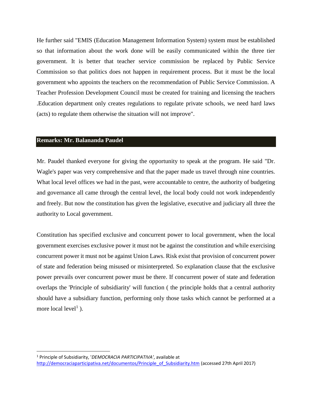He further said "EMIS (Education Management Information System) system must be established so that information about the work done will be easily communicated within the three tier government. It is better that teacher service commission be replaced by Public Service Commission so that politics does not happen in requirement process. But it must be the local government who appoints the teachers on the recommendation of Public Service Commission. A Teacher Profession Development Council must be created for training and licensing the teachers .Education department only creates regulations to regulate private schools, we need hard laws (acts) to regulate them otherwise the situation will not improve".

### **Remarks: Mr. Balananda Paudel**

 $\overline{\phantom{a}}$ 

Mr. Paudel thanked everyone for giving the opportunity to speak at the program. He said "Dr. Wagle's paper was very comprehensive and that the paper made us travel through nine countries. What local level offices we had in the past, were accountable to centre, the authority of budgeting and governance all came through the central level, the local body could not work independently and freely. But now the constitution has given the legislative, executive and judiciary all three the authority to Local government.

Constitution has specified exclusive and concurrent power to local government, when the local government exercises exclusive power it must not be against the constitution and while exercising concurrent power it must not be against Union Laws. Risk exist that provision of concurrent power of state and federation being misused or misinterpreted. So explanation clause that the exclusive power prevails over concurrent power must be there. If concurrent power of state and federation overlaps the 'Principle of subsidiarity' will function ( the principle holds that a central authority should have a subsidiary function, performing only those tasks which cannot be performed at a more local  $level<sup>1</sup>$ ).

<sup>1</sup> Principle of Subsidiarity, '*DEMOCRACIA PARTICIPATIVA'*, available at [http://democraciaparticipativa.net/documentos/Principle\\_of\\_Subsidiarity.htm](http://democraciaparticipativa.net/documentos/Principle_of_Subsidiarity.htm) (accessed 27th April 2017)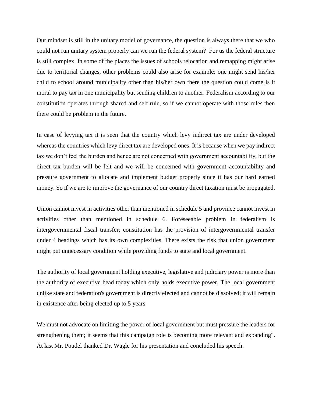Our mindset is still in the unitary model of governance, the question is always there that we who could not run unitary system properly can we run the federal system? For us the federal structure is still complex. In some of the places the issues of schools relocation and remapping might arise due to territorial changes, other problems could also arise for example: one might send his/her child to school around municipality other than his/her own there the question could come is it moral to pay tax in one municipality but sending children to another. Federalism according to our constitution operates through shared and self rule, so if we cannot operate with those rules then there could be problem in the future.

In case of levying tax it is seen that the country which levy indirect tax are under developed whereas the countries which levy direct tax are developed ones. It is because when we pay indirect tax we don't feel the burden and hence are not concerned with government accountability, but the direct tax burden will be felt and we will be concerned with government accountability and pressure government to allocate and implement budget properly since it has our hard earned money. So if we are to improve the governance of our country direct taxation must be propagated.

Union cannot invest in activities other than mentioned in schedule 5 and province cannot invest in activities other than mentioned in schedule 6. Foreseeable problem in federalism is intergovernmental fiscal transfer; constitution has the provision of intergovernmental transfer under 4 headings which has its own complexities. There exists the risk that union government might put unnecessary condition while providing funds to state and local government.

The authority of local government holding executive, legislative and judiciary power is more than the authority of executive head today which only holds executive power. The local government unlike state and federation's government is directly elected and cannot be dissolved; it will remain in existence after being elected up to 5 years.

We must not advocate on limiting the power of local government but must pressure the leaders for strengthening them; it seems that this campaign role is becoming more relevant and expanding". At last Mr. Poudel thanked Dr. Wagle for his presentation and concluded his speech.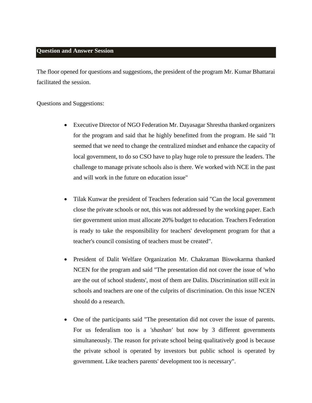# **Question and Answer Session**

The floor opened for questions and suggestions, the president of the program Mr. Kumar Bhattarai facilitated the session.

### Questions and Suggestions:

- Executive Director of NGO Federation Mr. Dayasagar Shrestha thanked organizers for the program and said that he highly benefitted from the program. He said "It seemed that we need to change the centralized mindset and enhance the capacity of local government, to do so CSO have to play huge role to pressure the leaders. The challenge to manage private schools also is there. We worked with NCE in the past and will work in the future on education issue"
- Tilak Kunwar the president of Teachers federation said "Can the local government close the private schools or not, this was not addressed by the working paper. Each tier government union must allocate 20% budget to education. Teachers Federation is ready to take the responsibility for teachers' development program for that a teacher's council consisting of teachers must be created".
- President of Dalit Welfare Organization Mr. Chakraman Biswokarma thanked NCEN for the program and said "The presentation did not cover the issue of 'who are the out of school students', most of them are Dalits. Discrimination still exit in schools and teachers are one of the culprits of discrimination. On this issue NCEN should do a research.
- One of the participants said "The presentation did not cover the issue of parents. For us federalism too is a *'shashan'* but now by 3 different governments simultaneously. The reason for private school being qualitatively good is because the private school is operated by investors but public school is operated by government. Like teachers parents' development too is necessary".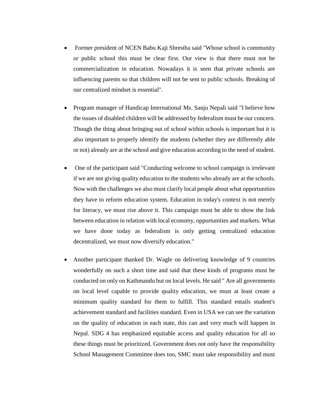- Former president of NCEN Babu Kaji Shrestha said "Whose school is community or public school this must be clear first. Our view is that there must not be commercialization in education. Nowadays it is seen that private schools are influencing parents so that children will not be sent to public schools. Breaking of our centralized mindset is essential".
- Program manager of Handicap International Ms. Sanju Nepali said "I believe how the issues of disabled children will be addressed by federalism must be our concern. Though the thing about bringing out of school within schools is important but it is also important to properly identify the students (whether they are differently able or not) already are at the school and give education according to the need of student.
- One of the participant said "Conducting welcome to school campaign is irrelevant if we are not giving quality education to the students who already are at the schools. Now with the challenges we also must clarify local people about what opportunities they have to reform education system. Education in today's context is not merely for literacy, we must rise above it. This campaign must be able to show the link between education in relation with local economy, opportunities and markets. What we have done today as federalism is only getting centralized education decentralized, we must now diversify education."
- Another participant thanked Dr. Wagle on delivering knowledge of 9 countries wonderfully on such a short time and said that these kinds of programs must be conducted on only on Kathmandu but on local levels. He said " Are all governments on local level capable to provide quality education, we must at least create a minimum quality standard for them to fulfill. This standard entails student's achievement standard and facilities standard. Even in USA we can see the variation on the quality of education in each state, this can and very much will happen in Nepal. SDG 4 has emphasized equitable access and quality education for all so these things must be prioritized. Government does not only have the responsibility School Management Committee does too, SMC must take responsibility and must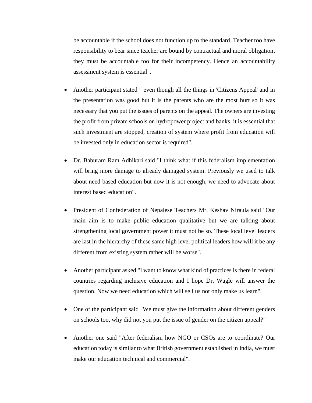be accountable if the school does not function up to the standard. Teacher too have responsibility to bear since teacher are bound by contractual and moral obligation, they must be accountable too for their incompetency. Hence an accountability assessment system is essential".

- Another participant stated " even though all the things in 'Citizens Appeal' and in the presentation was good but it is the parents who are the most hurt so it was necessary that you put the issues of parents on the appeal. The owners are investing the profit from private schools on hydropower project and banks, it is essential that such investment are stopped, creation of system where profit from education will be invested only in education sector is required".
- Dr. Baburam Ram Adhikari said "I think what if this federalism implementation will bring more damage to already damaged system. Previously we used to talk about need based education but now it is not enough, we need to advocate about interest based education".
- President of Confederation of Nepalese Teachers Mr. Keshav Niraula said "Our main aim is to make public education qualitative but we are talking about strengthening local government power it must not be so. These local level leaders are last in the hierarchy of these same high level political leaders how will it be any different from existing system rather will be worse".
- Another participant asked "I want to know what kind of practices is there in federal countries regarding inclusive education and I hope Dr. Wagle will answer the question. Now we need education which will sell us not only make us learn".
- One of the participant said "We must give the information about different genders on schools too, why did not you put the issue of gender on the citizen appeal?"
- Another one said "After federalism how NGO or CSOs are to coordinate? Our education today is similar to what British government established in India, we must make our education technical and commercial".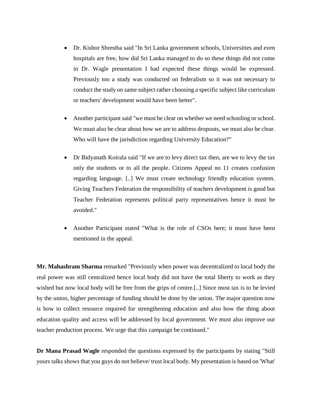- Dr. Kishor Shrestha said "In Sri Lanka government schools, Universities and even hospitals are free, how did Sri Lanka managed to do so these things did not come in Dr. Wagle presentation I had expected these things would be expressed. Previously too a study was conducted on federalism so it was not necessary to conduct the study on same subject rather choosing a specific subject like curriculum or teachers' development would have been better".
- Another participant said "we must be clear on whether we need schooling or school. We must also be clear about how we are to address dropouts, we must also be clear. Who will have the jurisdiction regarding University Education?"
- Dr Bidyanath Koirala said "If we are to levy direct tax then, are we to levy the tax only the students or to all the people. Citizens Appeal no 11 creates confusion regarding language. [..] We must create technology friendly education system. Giving Teachers Federation the responsibility of teachers development is good but Teacher Federation represents political party representatives hence it must be avoided."
- Another Participant stated "What is the role of CSOs here; it must have been mentioned in the appeal.

**Mr. Mahashram Sharma** remarked "Previously when power was decentralized to local body the real power was still centralized hence local body did not have the total liberty to work as they wished but now local body will be free from the grips of centre.[..] Since most tax is to be levied by the union, higher percentage of funding should be done by the union. The major question now is how to collect resource required for strengthening education and also how the thing about education quality and access will be addressed by local government. We must also improve our teacher production process. We urge that this campaign be continued."

**Dr Mana Prasad Wagle** responded the questions expressed by the participants by stating "Still yours talks shows that you guys do not believe/ trust local body. My presentation is based on 'What'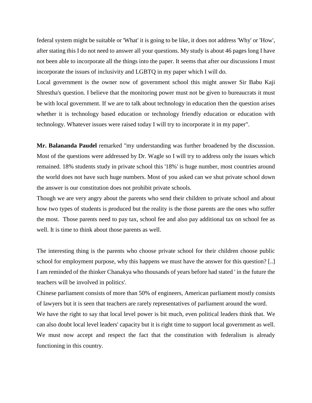federal system might be suitable or 'What' it is going to be like, it does not address 'Why' or 'How', after stating this I do not need to answer all your questions. My study is about 46 pages long I have not been able to incorporate all the things into the paper. It seems that after our discussions I must incorporate the issues of inclusivity and LGBTQ in my paper which I will do.

Local government is the owner now of government school this might answer Sir Babu Kaji Shrestha's question. I believe that the monitoring power must not be given to bureaucrats it must be with local government. If we are to talk about technology in education then the question arises whether it is technology based education or technology friendly education or education with technology. Whatever issues were raised today I will try to incorporate it in my paper".

**Mr. Balananda Paudel** remarked "my understanding was further broadened by the discussion. Most of the questions were addressed by Dr. Wagle so I will try to address only the issues which remained. 18% students study in private school this '18%' is huge number, most countries around the world does not have such huge numbers. Most of you asked can we shut private school down the answer is our constitution does not prohibit private schools.

Though we are very angry about the parents who send their children to private school and about how two types of students is produced but the reality is the those parents are the ones who suffer the most. Those parents need to pay tax, school fee and also pay additional tax on school fee as well. It is time to think about those parents as well.

The interesting thing is the parents who choose private school for their children choose public school for employment purpose, why this happens we must have the answer for this question? [..] I am reminded of the thinker Chanakya who thousands of years before had stated ' in the future the teachers will be involved in politics'.

Chinese parliament consists of more than 50% of engineers, American parliament mostly consists of lawyers but it is seen that teachers are rarely representatives of parliament around the word.

We have the right to say that local level power is bit much, even political leaders think that. We can also doubt local level leaders' capacity but it is right time to support local government as well. We must now accept and respect the fact that the constitution with federalism is already functioning in this country.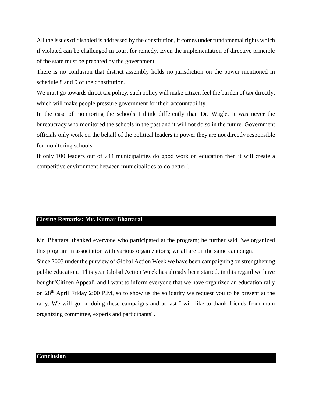All the issues of disabled is addressed by the constitution, it comes under fundamental rights which if violated can be challenged in court for remedy. Even the implementation of directive principle of the state must be prepared by the government.

There is no confusion that district assembly holds no jurisdiction on the power mentioned in schedule 8 and 9 of the constitution.

We must go towards direct tax policy, such policy will make citizen feel the burden of tax directly, which will make people pressure government for their accountability.

In the case of monitoring the schools I think differently than Dr. Wagle. It was never the bureaucracy who monitored the schools in the past and it will not do so in the future. Government officials only work on the behalf of the political leaders in power they are not directly responsible for monitoring schools.

If only 100 leaders out of 744 municipalities do good work on education then it will create a competitive environment between municipalities to do better".

# **Closing Remarks: Mr. Kumar Bhattarai**

Mr. Bhattarai thanked everyone who participated at the program; he further said "we organized this program in association with various organizations; we all are on the same campaign.

Since 2003 under the purview of Global Action Week we have been campaigning on strengthening public education. This year Global Action Week has already been started, in this regard we have bought 'Citizen Appeal', and I want to inform everyone that we have organized an education rally on 28th April Friday 2:00 P.M, so to show us the solidarity we request you to be present at the rally. We will go on doing these campaigns and at last I will like to thank friends from main organizing committee, experts and participants".

# **Conclusion**